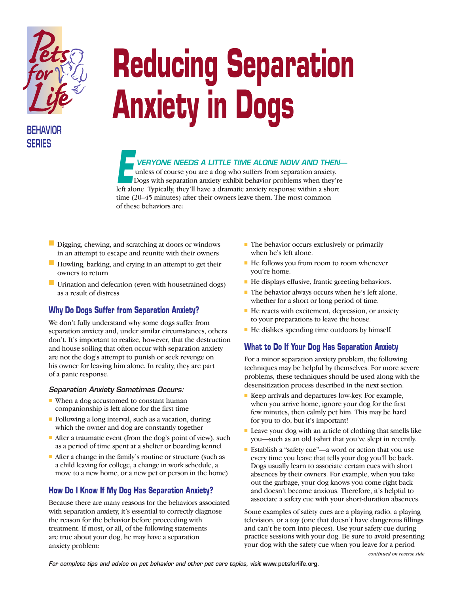

# **BEHAVIOR SERIES**

# **Reducing Separation Anxiety in Dogs**

## *VERYONE NEEDS A LITTLE TIME ALONE NOW AND THEN—*

unless of course you are a dog who suffers from separation anxiety. Dogs with separation anxiety exhibit behavior problems when they're THE TIME ALONE NOW AND THEN-<br>unless of course you are a dog who suffers from separation anxiety.<br>Dogs with separation anxiety exhibit behavior problems when they're<br>left alone. Typically, they'll have a dramatic anxiety re time (20–45 minutes) after their owners leave them. The most common of these behaviors are:

- Digging, chewing, and scratching at doors or windows in an attempt to escape and reunite with their owners
- Howling, barking, and crying in an attempt to get their owners to return
- Urination and defecation (even with housetrained dogs) as a result of distress

#### **Why Do Dogs Suffer from Separation Anxiety?**

We don't fully understand why some dogs suffer from separation anxiety and, under similar circumstances, others don't. It's important to realize, however, that the destruction and house soiling that often occur with separation anxiety are not the dog's attempt to punish or seek revenge on his owner for leaving him alone. In reality, they are part of a panic response.

#### *Separation Anxiety Sometimes Occurs:*

- When a dog accustomed to constant human companionship is left alone for the first time
- Following a long interval, such as a vacation, during which the owner and dog are constantly together
- After a traumatic event (from the dog's point of view), such as a period of time spent at a shelter or boarding kennel
- After a change in the family's routine or structure (such as a child leaving for college, a change in work schedule, a move to a new home, or a new pet or person in the home)

### **How Do I Know If My Dog Has Separation Anxiety?**

Because there are many reasons for the behaviors associated with separation anxiety, it's essential to correctly diagnose the reason for the behavior before proceeding with treatment. If most, or all, of the following statements are true about your dog, he may have a separation anxiety problem:

- The behavior occurs exclusively or primarily when he's left alone.
- He follows you from room to room whenever you're home.
- He displays effusive, frantic greeting behaviors.
- The behavior always occurs when he's left alone, whether for a short or long period of time.
- He reacts with excitement, depression, or anxiety to your preparations to leave the house.
- He dislikes spending time outdoors by himself.

#### **What to Do If Your Dog Has Separation Anxiety**

For a minor separation anxiety problem, the following techniques may be helpful by themselves. For more severe problems, these techniques should be used along with the desensitization process described in the next section.

- Keep arrivals and departures low-key. For example, when you arrive home, ignore your dog for the first few minutes, then calmly pet him. This may be hard for you to do, but it's important!
- Leave your dog with an article of clothing that smells like you—such as an old t-shirt that you've slept in recently.
- Establish a "safety cue"—a word or action that you use every time you leave that tells your dog you'll be back. Dogs usually learn to associate certain cues with short absences by their owners. For example, when you take out the garbage, your dog knows you come right back and doesn't become anxious. Therefore, it's helpful to associate a safety cue with your short-duration absences.

Some examples of safety cues are a playing radio, a playing television, or a toy (one that doesn't have dangerous fillings and can't be torn into pieces). Use your safety cue during practice sessions with your dog. Be sure to avoid presenting your dog with the safety cue when you leave for a period

For complete tips and advice on pet behavior and other pet care topics, visit www.petsforlife.org.